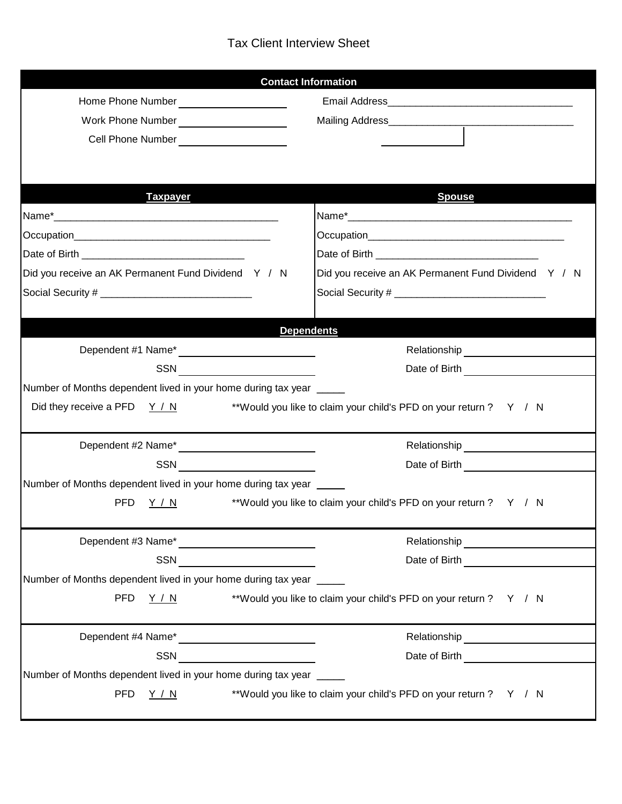## Tax Client Interview Sheet

|                                                                                                                                                                                                                                       |                                                                                                                      | <b>Contact Information</b>                                        |  |
|---------------------------------------------------------------------------------------------------------------------------------------------------------------------------------------------------------------------------------------|----------------------------------------------------------------------------------------------------------------------|-------------------------------------------------------------------|--|
| Home Phone Number ______________________                                                                                                                                                                                              |                                                                                                                      |                                                                   |  |
|                                                                                                                                                                                                                                       |                                                                                                                      |                                                                   |  |
| Cell Phone Number<br><u> </u>                                                                                                                                                                                                         |                                                                                                                      |                                                                   |  |
|                                                                                                                                                                                                                                       |                                                                                                                      |                                                                   |  |
|                                                                                                                                                                                                                                       |                                                                                                                      |                                                                   |  |
| <b>Taxpayer</b>                                                                                                                                                                                                                       |                                                                                                                      | <b>Spouse</b>                                                     |  |
|                                                                                                                                                                                                                                       |                                                                                                                      |                                                                   |  |
|                                                                                                                                                                                                                                       |                                                                                                                      |                                                                   |  |
|                                                                                                                                                                                                                                       |                                                                                                                      |                                                                   |  |
| Did you receive an AK Permanent Fund Dividend Y / N                                                                                                                                                                                   |                                                                                                                      | Did you receive an AK Permanent Fund Dividend Y / N               |  |
|                                                                                                                                                                                                                                       |                                                                                                                      |                                                                   |  |
|                                                                                                                                                                                                                                       |                                                                                                                      |                                                                   |  |
|                                                                                                                                                                                                                                       |                                                                                                                      | <b>Dependents</b>                                                 |  |
| Dependent #1 Name*<br><u> </u>                                                                                                                                                                                                        |                                                                                                                      |                                                                   |  |
|                                                                                                                                                                                                                                       | SSN <del>____________________</del>                                                                                  | Date of Birth <u>_____________</u>                                |  |
| Number of Months dependent lived in your home during tax year _____                                                                                                                                                                   |                                                                                                                      |                                                                   |  |
| Did they receive a PFD $Y/N$                                                                                                                                                                                                          |                                                                                                                      | **Would you like to claim your child's PFD on your return ? Y / N |  |
| Dependent #2 Name*<br><u> </u>                                                                                                                                                                                                        |                                                                                                                      |                                                                   |  |
|                                                                                                                                                                                                                                       | SSN <u>_______________</u>                                                                                           |                                                                   |  |
| Number of Months dependent lived in your home during tax year _____                                                                                                                                                                   |                                                                                                                      |                                                                   |  |
| PFD.<br>Y / N                                                                                                                                                                                                                         |                                                                                                                      | **Would you like to claim your child's PFD on your return ? Y / N |  |
|                                                                                                                                                                                                                                       |                                                                                                                      |                                                                   |  |
| Dependent #3 Name*<br><u> Letter and the substitute of</u> the set of the set of the set of the set of the set of the set of the set of the set of the set of the set of the set of the set of the set of the set of the set of the s |                                                                                                                      | Relationship <sub>___</sub> _____________________                 |  |
| SSN                                                                                                                                                                                                                                   | <u> 1989 - Jan Barbarat, prima prima prima prima prima prima prima prima prima prima prima prima prima prima pri</u> | Date of Birth <b>Exercise 2008</b>                                |  |
| Number of Months dependent lived in your home during tax year _                                                                                                                                                                       |                                                                                                                      |                                                                   |  |
| PFD <u>Y / N</u>                                                                                                                                                                                                                      |                                                                                                                      | **Would you like to claim your child's PFD on your return ? Y / N |  |
|                                                                                                                                                                                                                                       |                                                                                                                      |                                                                   |  |
|                                                                                                                                                                                                                                       |                                                                                                                      |                                                                   |  |
|                                                                                                                                                                                                                                       | SSN _______________                                                                                                  | Date of Birth <b>Contains Container</b>                           |  |
| Number of Months dependent lived in your home during tax year _____                                                                                                                                                                   |                                                                                                                      |                                                                   |  |
| <b>PFD</b><br>**Would you like to claim your child's PFD on your return ? Y / N<br><u>Y / N</u>                                                                                                                                       |                                                                                                                      |                                                                   |  |
|                                                                                                                                                                                                                                       |                                                                                                                      |                                                                   |  |